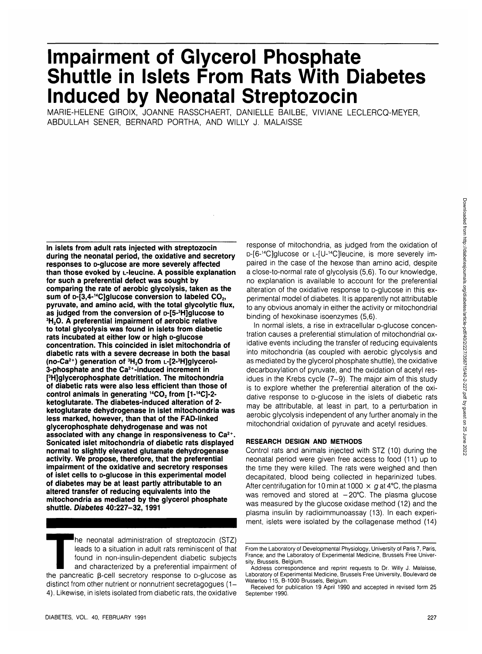# **Impairment of Glycerol Phosphate Shuttle in Islets From Rats With Diabetes Induced by Neonatal Streptozocin**

MARIE-HELENE GIROIX, JOANNE RASSCHAERT, DANIELLE BAILBE, VIVIANE LECLERCQ-MEYER, ABDULLAH SENER, BERNARD PORTHA, AND WILLY J. MALAISSE

**In islets from adult rats injected with streptozocin during the neonatal period, the oxidative and secretory responses to o-glucose are more severely affected than those evoked by L-leucine. A possible explanation for such a preferential defect was sought by comparing the rate of aerobic glycolysis, taken as the** sum of p-[3,4-<sup>14</sup>C]glucose conversion to labeled CO<sub>2</sub>, **pyruvate, and amino acid, with the total glycolytic flux, as judged from the conversion of D-[5-3 H]glucose to <sup>3</sup> H2O. A preferential impairment of aerobic relative to total glycolysis was found in islets from diabetic** rats incubated at either low or high **D-glucose concentration. This coincided in islet mitochondria of diabetic rats with a severe decrease in both the basal (no-Ca2+) generation of 3H2O from L-[2-3 H]glycerol-3-phosphate and the Ca2+-induced increment in [ 3 H]glycerophosphate detritiation. The mitochondria of diabetic rats were also less efficient than those of** control animals in generating <sup>14</sup>CO<sub>2</sub> from [1-<sup>14</sup>C]-2**ketoglutarate. The diabetes-induced alteration of 2 ketoglutarate dehydrogenase in islet mitochondria was less marked, however, than that of the FAD-linked glycerophosphate dehydrogenase and was not associated with any change in responsiveness to Ca2+. Sonicated islet mitochondria of diabetic rats displayed normal to slightly elevated glutamate dehydrogenase activity. We propose, therefore, that the preferential impairment of the oxidative and secretory responses of islet cells to D-glucose in this experimental model of diabetes may be at least partly attributable to an altered transfer of reducing equivalents into the mitochondria as mediated by the glycerol phosphate shuttle. Diabetes 40:227-32,1991**

The neonatal administration of streptozocin (STZ)<br>leads to a situation in adult rats reminiscent of that<br>found in non-insulin-dependent diabetic subjects<br>and characterized by a preferential impairment of<br>the pancreatic βleads to a situation in adult rats reminiscent of that found in non-insulin-dependent diabetic subjects and characterized by a preferential impairment of distinct from other nutrient or nonnutrient secretagogues (1-4). Likewise, in islets isolated from diabetic rats, the oxidative response of mitochondria, as judged from the oxidation of D-[6-14C]glucose or L-[U-14C]leucine, is more severely impaired in the case of the hexose than amino acid, despite a close-to-normal rate of glycolysis (5,6). To our knowledge, no explanation is available to account for the preferential alteration of the oxidative response to p-glucose in this experimental model of diabetes. It is apparently not attributable to any obvious anomaly in either the activity or mitochondrial binding of hexokinase isoenzymes (5,6).

In normal islets, a rise in extracellular D-glucose concentration causes a preferential stimulation of mitochondrial oxidative events including the transfer of reducing equivalents into mitochondria (as coupled with aerobic glycolysis and as mediated by the glycerol phosphate shuttle), the oxidative decarboxylation of pyruvate, and the oxidation of acetyl residues in the Krebs cycle (7-9). The major aim of this study is to explore whether the preferential alteration of the oxidative response to D-glucose in the islets of diabetic rats may be attributable, at least in part, to a perturbation in aerobic glycolysis independent of any further anomaly in the mitochondrial oxidation of pyruvate and acetyl residues.

## **RESEARCH DESIGN AND METHODS**

Control rats and animals injected with STZ (10) during the neonatal period were given free access to food (11) up to the time they were killed. The rats were weighed and then decapitated, blood being collected in heparinized tubes. After centrifugation for 10 min at 1000  $\times$  g at 4°C, the plasma was removed and stored at  $-20^{\circ}$ C. The plasma glucose was measured by the glucose oxidase method (12) and the plasma insulin by radioimmunoassay (13). In each experiment, islets were isolated by the collagenase method (14)

From the Laboratory of Developmental Physiology, University of Paris 7, Paris, France; and the Laboratory of Experimental Medicine, Brussels Free University, Brussels, Belgium.

Address correspondence and reprint requests to Dr. Willy J. Malaisse, Laboratory of Experimental Medicine, Brussels Free University, Boulevard de Waterloo 115, B-1000 Brussels, Belgium.

Received for publication 19 April 1990 and accepted in revised form 25 September 1990.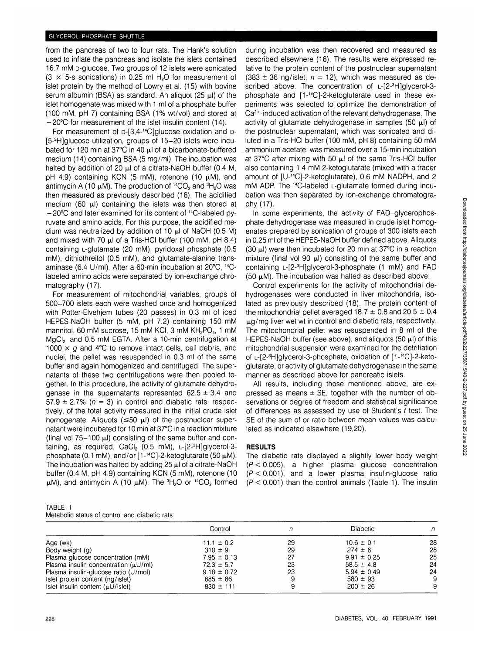#### GLYCEROL PHOSPHATE SHUTTLE

from the pancreas of two to four rats. The Hank's solution used to inflate the pancreas and isolate the islets contained 16.7 mM D-glucose. Two groups of 12 islets were sonicated (3  $\times$  5-s sonications) in 0.25 ml H<sub>2</sub>O for measurement of islet protein by the method of Lowry et al. (15) with bovine serum albumin (BSA) as standard. An aliquot (25  $\mu$ I) of the islet homogenate was mixed with 1 ml of a phosphate buffer (100 mM, pH 7) containing BSA (1% wt/vol) and stored at -20°C for measurement of the islet insulin content (14).

For measurement of  $D-$ [3,4-<sup>14</sup>C]glucose oxidation and D-[5-<sup>3</sup> H]glucose utilization, groups of 15-20 islets were incubated for 120 min at 37 $\degree$ C in 40  $\mu$ l of a bicarbonate-buffered medium (14) containing BSA (5 mg/ml). The incubation was halted by addition of 20  $\mu$  of a citrate-NaOH buffer (0.4 M, pH 4.9) containing KCN (5 mM), rotenone (10  $\mu$ M), and antimycin A (10  $\mu$ M). The production of <sup>14</sup>CO<sub>2</sub> and <sup>3</sup>H<sub>2</sub>O was then measured as previously described (16). The acidified medium (60  $\mu$ I) containing the islets was then stored at -20°C and later examined for its content of <sup>14</sup>C-labeled pyruvate and amino acids. For this purpose, the acidified medium was neutralized by addition of 10  $\mu$ l of NaOH (0.5 M) and mixed with 70  $\mu$  of a Tris-HCI buffer (100 mM, pH 8.4) containing L-glutamate (20 mM), pyridoxal phosphate (0.5 mM), dithiothreitol (0.5 mM), and glutamate-alanine transaminase (6.4 U/ml). After a 60-min incubation at 20°C, <sup>14</sup>Clabeled amino acids were separated by ion-exchange chromatography (17).

For measurement of mitochondrial variables, groups of 500-700 islets each were washed once and homogenized with Potter-Elvehjem tubes (20 passes) in 0.3 ml of iced HEPES-NaOH buffer (5 mM, pH 7.2) containing 150 mM mannitol, 60 mM sucrose, 15 mM KCI, 3 mM  $KH<sub>2</sub>PO<sub>4</sub>$ , 1 mM MgCI<sub>2</sub>, and 0.5 mM EGTA. After a 10-min centrifugation at 1000  $\times$  g and 4°C to remove intact cells, cell debris, and nuclei, the pellet was resuspended in 0.3 ml of the same buffer and again homogenized and centrifuged. The supernatants of these two centrifugations were then pooled together. In this procedure, the activity of glutamate dehydrogenase in the supernatants represented  $62.5 \pm 3.4$  and 57.9  $\pm$  2.7% ( $n = 3$ ) in control and diabetic rats, respectively, of the total activity measured in the initial crude islet homogenate. Aliquots ( $\leq$ 50  $\mu$ I) of the postnuclear supernatant were incubated for 10 min at 37°C in a reaction mixture (final vol 75-100  $\mu$ I) consisting of the same buffer and containing, as required, CaCl, (0.5 mM), L-[2-<sup>3</sup>H]glycerol-3phosphate (0.1 mM), and/or  $[1-14C]-2$ -ketoglutarate (50  $\mu$ M). The incubation was halted by adding  $25 \mu$  of a citrate-NaOH buffer (0.4 M, pH 4.9) containing KCN (5 mM), rotenone (10 μM), and antimycin A (10 μM). The <sup>3</sup>H<sub>2</sub>O or <sup>14</sup>CO<sub>2</sub> formed

TABLE 1 Metabolic status of control and diabetic rats

during incubation was then recovered and measured as described elsewhere (16). The results were expressed relative to the protein content of the postnuclear supernatant  $(383 \pm 36 \text{ ng/islet}, n = 12)$ , which was measured as described above. The concentration of L-[2-3H]glycerol-3phosphate and [1-<sup>14</sup>C]-2-ketoglutarate used in these experiments was selected to optimize the demonstration of Ca2+-induced activation of the relevant dehydrogenase. The activity of glutamate dehydrogenase in samples (50  $\mu$ l) of the postnuclear supernatant, which was sonicated and diluted in a Tris-HCI buffer (100 mM, pH 8) containing 50 mM ammonium acetate, was measured over a 15-min incubation at 37 $\degree$ C after mixing with 50  $\mu$ l of the same Tris-HCI buffer also containing 1.4 mM 2-ketoglutarate (mixed with a tracer amount of [U-14C]-2-ketoglutarate), 0.6 mM NADPH, and 2 mM ADP. The <sup>14</sup>C-labeled L-glutamate formed during incubation was then separated by ion-exchange chromatography(17).

In some experiments, the activity of FAD-glycerophosphate dehydrogenase was measured in crude islet homogenates prepared by sonication of groups of 300 islets each in 0.25 ml of the HEPES-NaOH buffer defined above. Aliquots (30  $\mu$ I) were then incubated for 20 min at 37 $\degree$ C in a reaction mixture (final vol 90  $\mu$ l) consisting of the same buffer and containing L-[2-3 H]glycerol-3-phosphate (1 mM) and FAD (50  $\mu$ M). The incubation was halted as described above.

Control experiments for the activity of mitochondrial dehydrogenases were conducted in liver mitochondria, isolated as previously described (18). The protein content of the mitochondrial pellet averaged 18.7  $\pm$  0.8 and 20.5  $\pm$  0.4  $\mu$ g/mg liver wet wt in control and diabetic rats, respectively. The mitochondrial pellet was resuspended in 8 ml of the HEPES-NaOH buffer (see above), and aliquots (50  $\mu$ I) of this mitochondrial suspension were examined for the detritiation of L-[2-<sup>3</sup>H]glycerol-3-phosphate, oxidation of [1-<sup>14</sup>C]-2-ketoglutarate, or activity of glutamate dehydrogenase in the same manner as described above for pancreatic islets.

All results, including those mentioned above, are expressed as means  $\pm$  SE, together with the number of observations or degree of freedom and statistical significance of differences as assessed by use of Student's t test. The SE of the sum of or ratio between mean values was calculated as indicated elsewhere (19,20).

### **RESULTS**

The diabetic rats displayed a slightly lower body weight  $(P < 0.005)$ , a higher plasma glucose concentration  $(P < 0.001)$ , and a lower plasma insulin-glucose ratio  $(P < 0.001)$  than the control animals (Table 1). The insulin

| 1                                                |  |
|--------------------------------------------------|--|
|                                                  |  |
|                                                  |  |
|                                                  |  |
|                                                  |  |
| Ï                                                |  |
|                                                  |  |
|                                                  |  |
|                                                  |  |
|                                                  |  |
|                                                  |  |
|                                                  |  |
|                                                  |  |
|                                                  |  |
|                                                  |  |
|                                                  |  |
|                                                  |  |
| j                                                |  |
|                                                  |  |
|                                                  |  |
|                                                  |  |
|                                                  |  |
|                                                  |  |
|                                                  |  |
|                                                  |  |
| l                                                |  |
|                                                  |  |
|                                                  |  |
|                                                  |  |
|                                                  |  |
|                                                  |  |
|                                                  |  |
|                                                  |  |
|                                                  |  |
|                                                  |  |
|                                                  |  |
|                                                  |  |
| ׇ֖֖֖֧ׅ֧ׅ֧֧֧֚֚֚֚֚֚֚֚֚֚֚֚֚֚֚֚֚֚֚֚֚֚֚֚֚֚֚֚֚֡֓֝֓֞֝֓֞ |  |
|                                                  |  |
|                                                  |  |
|                                                  |  |
|                                                  |  |
|                                                  |  |
|                                                  |  |
|                                                  |  |
|                                                  |  |
|                                                  |  |
|                                                  |  |
|                                                  |  |
|                                                  |  |
|                                                  |  |
|                                                  |  |
|                                                  |  |
|                                                  |  |
|                                                  |  |
| í                                                |  |
| j                                                |  |
|                                                  |  |
|                                                  |  |
|                                                  |  |
|                                                  |  |
| lest on 25 June 2022                             |  |
|                                                  |  |
|                                                  |  |
|                                                  |  |
|                                                  |  |
|                                                  |  |
|                                                  |  |
|                                                  |  |

|                                                | Control         |    | <b>Diabetic</b> | n  |
|------------------------------------------------|-----------------|----|-----------------|----|
| Age (wk)                                       | $11.1 \pm 0.2$  | 29 | $10.6 \pm 0.1$  | 28 |
| Body weight (g)                                | $310 \pm 9$     | 29 | $274 \pm 6$     | 28 |
| Plasma glucose concentration (mM)              | $7.95 \pm 0.13$ | 27 | $9.91 \pm 0.25$ | 25 |
| Plasma insulin concentration $(\mu U/ml)$      | $72.3 \pm 5.7$  | 23 | $58.5 \pm 4.8$  | 24 |
| Plasma insulin-glucose ratio (U/mol)           | $9.18 \pm 0.72$ | 23 | $5.94 \pm 0.49$ | 24 |
| Islet protein content (ng/islet)               | $685 \pm 86$    |    | $580 \pm 93$    | g  |
| Islet insulin content $(\mu U / \text{islet})$ | $830 \pm 111$   |    | $200 \pm 26$    |    |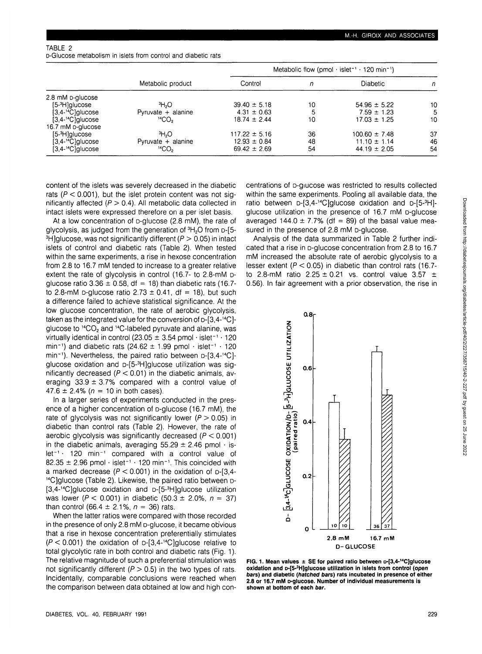TABLE 2

D-Glucose metabolism in islets from control and diabetic rats

|                            | Metabolic product             | Metabolic flow (pmol $\cdot$ islet <sup>-1</sup> $\cdot$ 120 min <sup>-1</sup> ) |    |                   |    |
|----------------------------|-------------------------------|----------------------------------------------------------------------------------|----|-------------------|----|
|                            |                               | Control                                                                          | n  | <b>Diabetic</b>   | n  |
| 2.8 mM p-glucose           |                               |                                                                                  |    |                   |    |
| [5- <sup>3</sup> H]glucose | ªH,O                          | $39.40 \pm 5.18$                                                                 | 10 | $54.96 \pm 5.22$  | 10 |
| $[3,4-14C]$ qlucose        | Pyruvate + alanine            | $4.31 \pm 0.63$                                                                  | 5  | $7.59 \pm 1.23$   | 5  |
| $[3.414C]$ glucose         | <sup>14</sup> CO <sub>2</sub> | $18.74 \pm 2.44$                                                                 | 10 | $17.03 \pm 1.25$  | 10 |
| 16.7 mM p-glucose          |                               |                                                                                  |    |                   |    |
| $[5-3H]$ glucose           | ªH,O                          | $117.22 \pm 5.16$                                                                | 36 | $100.60 \pm 7.48$ | 37 |
| $[3,4-14C]$ glucose        | Pyruvate + alanine            | $12.93 \pm 0.84$                                                                 | 48 | $11.10 \pm 1.14$  | 46 |
| $[3,4-14C]$ glucose        | $^14CO2$                      | $69.42 \pm 2.69$                                                                 | 54 | $44.19 \pm 2.05$  | 54 |

content of the islets was severely decreased in the diabetic rats ( $P < 0.001$ ), but the islet protein content was not significantly affected  $(P > 0.4)$ . All metabolic data collected in intact islets were expressed therefore on a per islet basis.

At a low concentration of p-glucose (2.8 mM), the rate of glycolysis, as judged from the generation of  ${}^{3}H_{2}O$  from p-[5-<br> ${}^{3}H_{2}O$  from potential different ( $P > 0.05$ ) in integle <sup>3</sup>H]glucose, was not significantly different ( $P > 0.05$ ) in intact islets of control and diabetic rats (Table 2). When tested within the same experiments, a rise in hexose concentration from 2.8 to 16.7 mM tended to increase to a greater relative extent the rate of glycolysis in control (16.7- to 2.8-mM Dglucose ratio  $3.36 \pm 0.58$ , df = 18) than diabetic rats (16.7to 2.8-mM p-glucose ratio  $2.73 \pm 0.41$ , df = 18), but such a difference failed to achieve statistical significance. At the low glucose concentration, the rate of aerobic glycolysis, taken as the integrated value for the conversion of D-[3,4-14C] glucose to <sup>14</sup>CO<sub>2</sub> and <sup>14</sup>C-labeled pyruvate and alanine, was virtually identical in control (23.05  $\pm$  3.54 pmol  $\cdot$  islet<sup>-1</sup>  $\cdot$  120 min<sup>-1</sup>) and diabetic rats (24.62  $\pm$  1.99 pmol  $\cdot$  islet<sup>-1</sup>  $\cdot$  120 min<sup>-1</sup>). Nevertheless, the paired ratio between p-[3,4-<sup>14</sup>C]glucose oxidation and D-[5-3 H]glucose utilization was significantly decreased ( $P < 0.01$ ) in the diabetic animals, averaging  $33.9 \pm 3.7\%$  compared with a control value of  $47.6 \pm 2.4\%$  ( $n = 10$  in both cases).

In a larger series of experiments conducted in the presence of a higher concentration of D-glucose (16.7 mM), the rate of glycolysis was not significantly lower ( $P > 0.05$ ) in diabetic than control rats (Table 2). However, the rate of aerobic glycolysis was significantly decreased  $(P < 0.001)$ in the diabetic animals, averaging  $55.29 \pm 2.46$  pmol  $\cdot$  islet<sup>-1</sup> 120 min<sup>-1</sup> compared with a control value of  $82.35 \pm 2.96$  pmol  $\cdot$  islet<sup>-1</sup>  $\cdot$  120 min<sup>-1</sup>. This coincided with a marked decrease ( $P < 0.001$ ) in the oxidation of  $D-3,4$ -14C]glucose (Table 2). Likewise, the paired ratio between D- [3,4-14C]glucose oxidation and D-[5-3 H]glucose utilization was lower ( $P < 0.001$ ) in diabetic (50.3 ± 2.0%,  $n = 37$ ) than control (66.4  $\pm$  2.1%,  $n = 36$ ) rats.

When the latter ratios were compared with those recorded in the presence of only 2.8 mM D-glucose, it became obvious that a rise in hexose concentration preferentially stimulates  $(P < 0.001)$  the oxidation of D-[3,4-<sup>14</sup>C]glucose relative to total glycolytic rate in both control and diabetic rats (Fig. 1). The relative magnitude of such a preferential stimulation was not significantly different ( $P > 0.5$ ) in the two types of rats. Incidentally, comparable conclusions were reached when the comparison between data obtained at low and high concentrations of D-giucose was restricted to results collected within the same experiments. Pooling all available data, the ratio between D-[3,4-<sup>14</sup>C]glucose oxidation and D-[5-<sup>3</sup>H]glucose utilization in the presence of 16.7 mM D-glucose averaged 144.0  $\pm$  7.7% (df = 89) of the basal value measured in the presence of 2.8 mM p-glucose.

Analysis of the data summarized in Table 2 further indicated that a rise in D-glucose concentration from 2.8 to 16.7 mM increased the absolute rate of aerobic glycolysis to a lesser extent ( $P < 0.05$ ) in diabetic than control rats (16.7to 2.8-mM ratio  $2.25 \pm 0.21$  vs. control value 3.57  $\pm$ 0.56). In fair agreement with a prior observation, the rise in

**JL**

 $Q_6B_6$ 



**FIG. 1. Mean values ± SE for paired ratio between D-[3,4-14C]glucose oxidation and D-[5-3 H]glucose utilization in islets from control (open bars) and diabetic (hatched bars) rats incubated in presence of either 2.8 or 16.7 mM D-glucose. Number of individual measurements is shown at bottom of each bar.**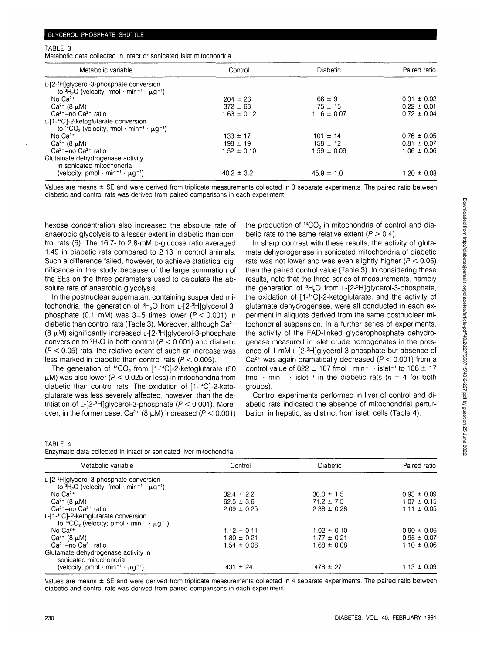#### TABLE 3

Metabolic data collected in intact or sonicated islet mitochondria

| Metabolic variable                                                               | Control         | Diabetic        | Paired ratio    |
|----------------------------------------------------------------------------------|-----------------|-----------------|-----------------|
| L-[2- <sup>3</sup> H]glycerol-3-phosphate conversion                             |                 |                 |                 |
| to ${}^{3}H_{2}O$ (velocity; fmol $\cdot$ min <sup>-1</sup> $\cdot \mu g^{-1}$ ) |                 |                 |                 |
| No $Ca2+$                                                                        | $204 \pm 26$    | $66 \pm 9$      | $0.31 \pm 0.02$ |
| Ca <sup>2+</sup> (8 $\mu$ M)                                                     | $372 \pm 63$    | $75 \pm 15$     | $0.22 \pm 0.01$ |
| $Ca2+$ -no Ca <sup>2+</sup> ratio                                                | $1.63 \pm 0.12$ | $1.16 \pm 0.07$ | $0.72 \pm 0.04$ |
| L-[1- <sup>14</sup> C]-2-ketoglutarate conversion                                |                 |                 |                 |
| to $^{14}CO_{2}$ (velocity; fmol $\cdot$ min <sup>-1</sup> $\cdot \mu g^{-1}$ )  |                 |                 |                 |
| No $Ca2+$                                                                        | $133 \pm 17$    | $101 \pm 14$    | $0.76 \pm 0.05$ |
| $Ca^{2+}$ (8 $\mu$ M)                                                            | $198 \pm 19$    | $158 \pm 12$    | $0.81 \pm 0.07$ |
| $Ca2+$ -no $Ca2+$ ratio                                                          | $1.52 \pm 0.10$ | $1.59 \pm 0.09$ | $1.06 \pm 0.06$ |
| Glutamate dehydrogenase activity                                                 |                 |                 |                 |
| in sonicated mitochondria                                                        |                 |                 |                 |
| (velocity; pmol $\cdot$ min <sup>-1</sup> $\cdot \mu$ g <sup>-1</sup> )          | $40.2 \pm 3.2$  | $45.9 \pm 1.0$  | $1.20 \pm 0.08$ |

Values are means ± SE and were derived from triplicate measurements collected in 3 separate experiments. The paired ratio between diabetic and control rats was derived from paired comparisons in each experiment.

the production of  $14CO<sub>2</sub>$  in mitochondria of control and dia-

In sharp contrast with these results, the activity of glutamate dehydrogenase in sonicated mitochondria of diabetic rats was not lower and was even slightly higher ( $P < 0.05$ ) than the paired control value (Table 3). In considering these results, note that the three series of measurements, namely the generation of  ${}^{3}H_{2}O$  from L-[2- ${}^{3}H$ ]glycerol-3-phosphate the oxidation of [1-14C]-2-ketoglutarate, and the activity of glutamate dehydrogenase, were all conducted in each experiment in aliquots derived from the same postnuclear mitochondrial suspension. In a further series of experiments, the activity of the FAD-linked glycerophosphate dehydrogenase measured in islet crude homogenates in the presence of 1 mM L-[2-<sup>3</sup>H]glycerol-3-phosphate but absence of Ca<sup>2+</sup> was again dramatically decreased ( $P < 0.001$ ) from a control value of 822  $\pm$  107 fmol  $\cdot$  min<sup>-1</sup>  $\cdot$  islet<sup>-1</sup> to 106  $\pm$  17 fmol  $\cdot$  min<sup>-1</sup>  $\cdot$  islet<sup>-1</sup> in the diabetic rats ( $n = 4$  for both

Control experiments performed in liver of control and diabetic rats indicated the absence of mitochondrial perturbation in hepatic, as distinct from islet, cells (Table 4).

betic rats to the same relative extent  $(P > 0.4)$ .

hexose concentration also increased the absolute rate of anaerobic glycolysis to a lesser extent in diabetic than control rats (6). The 16.7- to 2.8-mM D-glucose ratio averaged 1.49 in diabetic rats compared to 2.13 in control animals. Such a difference failed, however, to achieve statistical significance in this study because of the large summation of the SEs on the three parameters used to calculate the absolute rate of anaerobic glycolysis.

In the postnuclear supernatant containing suspended mitochondria, the generation of  ${}^{3}H_{2}O$  from L-[2- ${}^{3}H$ ]glycerol-3phosphate (0.1 mM) was 3-5 times lower ( $P < 0.001$ ) in diabetic than control rats (Table 3). Moreover, although Ca2+  $(8 \mu M)$  significantly increased L- $[2^{-3}H]$ glycerol-3-phosphate conversion to  ${}^{3}H_{2}O$  in both control ( $P < 0.001$ ) and diabetic  $(P < 0.05)$  rats, the relative extent of such an increase was less marked in diabetic than control rats ( $P < 0.005$ ).

The generation of <sup>14</sup>CO<sub>2</sub> from [1-<sup>14</sup>C]-2-ketoglutarate (50  $\mu$ M) was also lower ( $P < 0.025$  or less) in mitochondria from diabetic than control rats. The oxidation of [1-14C]-2-ketoglutarate was less severely affected, however, than the detritiation of  $L-[2^{-3}H]$ glycerol-3-phosphate ( $P < 0.001$ ). Moreover, in the former case, Ca<sup>2+</sup> (8  $\mu$ M) increased (P < 0.001)

TABLE 4

| Enzymatic data collected in intact or sonicated liver mitochondria                       |                 |                 |                 |  |
|------------------------------------------------------------------------------------------|-----------------|-----------------|-----------------|--|
| Metabolic variable                                                                       | Control         | <b>Diabetic</b> | Paired ratio    |  |
| L-[2- <sup>3</sup> H]glycerol-3-phosphate conversion                                     |                 |                 |                 |  |
| to ${}^{3}H_{2}O$ (velocity; fmol $\cdot$ min <sup>-1</sup> $\cdot \mu q^{-1}$ )         |                 |                 |                 |  |
| No $Ca2+$                                                                                | $32.4 \pm 2.2$  | $30.0 \pm 1.5$  | $0.93 \pm 0.09$ |  |
| $Ca^{2+}$ (8 $\mu$ M)                                                                    | $62.5 \pm 3.6$  | $71.2 \pm 7.5$  | $1.07 \pm 0.15$ |  |
| $Ca2+$ -no Ca <sup>2+</sup> ratio                                                        | $2.09 \pm 0.25$ | $2.38 \pm 0.28$ | $1.11 \pm 0.05$ |  |
| L-[1- <sup>14</sup> C]-2-ketoglutarate conversion                                        |                 |                 |                 |  |
| to $^{14}CO_{2}$ (velocity; pmol $\cdot$ min <sup>-1</sup> $\cdot \mu$ g <sup>-1</sup> ) |                 |                 |                 |  |
| $No Ca2+$                                                                                | $1.12 \pm 0.11$ | $1.02 \pm 0.10$ | $0.90 \pm 0.06$ |  |
| $Ca^{2+}$ (8 $\mu$ M)                                                                    | $1.80 \pm 0.21$ | $1.77 \pm 0.21$ | $0.95 \pm 0.07$ |  |
| Ca <sup>2+</sup> -no Ca <sup>2+</sup> ratio                                              | $1.54 \pm 0.06$ | $1.68 \pm 0.08$ | $1.10 \pm 0.06$ |  |
| Glutamate dehydrogenase activity in                                                      |                 |                 |                 |  |
| sonicated mitochondria                                                                   |                 |                 |                 |  |
| (velocity: pmol $\cdot$ min <sup>-1</sup> $\cdot$ $\mu$ g <sup>-1</sup> )                | $431 \pm 24$    | $478 \pm 27$    | $1.13 \pm 0.09$ |  |

groups).

Values are means ± SE and were derived from triplicate measurements collected in 4 separate experiments. The paired ratio between diabetic and control rats was derived from paired comparisons in each experiment.

 $L$ - $\overline{2}$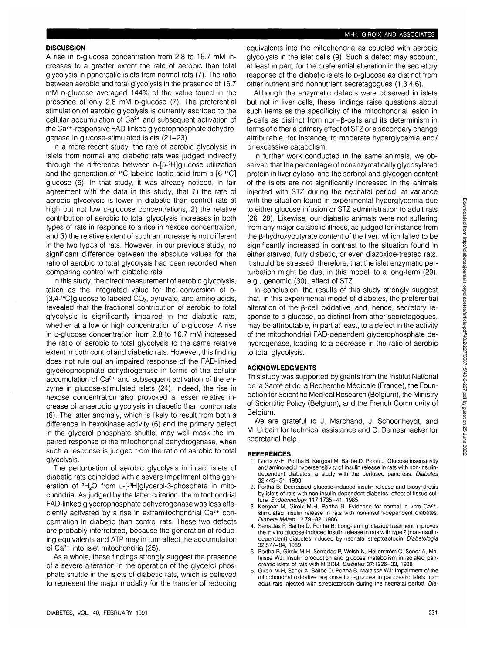#### M.-H. GIROIX AND ASSOCIATES

#### **DISCUSSION**

A rise in D-glucose concentration from 2.8 to 16.7 mM increases to a greater extent the rate of aerobic than total glycolysis in pancreatic islets from normal rats (7). The ratio between aerobic and total glycolysis in the presence of 16.7 mM D-glucose averaged 144% of the value found in the presence of only 2.8 mM D-glucose (7). The preferential stimulation of aerobic glycolysis is currently ascribed to the cellular accumulation of Ca<sup>2+</sup> and subsequent activation of the Ca2+-responsive FAD-linked glycerophosphate dehydrogenase in glucose-stimulated islets (21-23).

In a more recent study, the rate of aerobic glycolysis in islets from normal and diabetic rats was judged indirectly through the difference between D-[5-3 H]glucose utilization and the generation of <sup>14</sup>C-labeled lactic acid from D-[6-<sup>14</sup>C] glucose (6). In that study, it was already noticed, in fair agreement with the data in this study, that 1) the rate of aerobic glycolysis is lower in diabetic than control rats at high but not low p-glucose concentrations, 2) the relative contribution of aerobic to total glycolysis increases in both types of rats in response to a rise in hexose concentration, and 3) the relative extent of such an increase is not different in the two typ<sub>33</sub> of rats. However, in our previous study, no significant difference between the absolute values for the ratio of aerobic to total glycolysis had been recorded when comparing control with diabetic rats.

In this study, the direct measurement of aerobic glycolysis, taken as the integrated value for the conversion of D-  $[3,4^{-14}C]$ glucose to labeled  $CO<sub>2</sub>$ , pyruvate, and amino acids, revealed that the fractional contribution of aerobic to total glycolysis is significantly impaired in the diabetic rats, whether at a low or high concentration of D-glucose. A rise in D-glucose concentration from 2.8 to 16.7 mM increased the ratio of aerobic to total glycolysis to the same relative extent in both control and diabetic rats. However, this finding does not rule out an impaired response of the FAD-linked glycerophosphate dehydrogenase in terms of the cellular accumulation of Ca<sup>2+</sup> and subsequent activation of the enzyme in glucose-stimulated islets (24). Indeed, the rise in hexose concentration also provoked a lesser relative increase of anaerobic glycolysis in diabetic than control rats (6). The latter anomaly, which is likely to result from both a difference in hexokinase activity (6) and the primary defect in the glycerol phosphate shuttle, may well mask the impaired response of the mitochondrial dehydrogenase, when such a response is judged from the ratio of aerobic to total glycolysis.

The perturbation of aerobic glycolysis in intact islets of diabetic rats coincided with a severe impairment of the generation of  ${}^{3}H_{2}O$  from L-[- ${}^{3}H$ ]glycerol-3-phosphate in mitochondria. As judged by the latter criterion, the mitochondrial FAD-linked glycerophosphate dehydrogenase was less effeciently activated by a rise in extramitochondrial Ca<sup>2+</sup> concentration in diabetic than control rats. These two defects are probably interrelated, because the generation of reducing equivalents and ATP may in turn affect the accumulation of Ca<sup>2+</sup> into islet mitochondria (25).

As a whole, these findings strongly suggest the presence of a severe alteration in the operation of the glycerol phosphate shuttle in the islets of diabetic rats, which is believed to represent the major modality for the transfer of reducing

Although the enzymatic defects were observed in islets but not in liver cells, these findings raise questions about such items as the specificity of the mitochondrial lesion in (3-cells as distinct from non-3-cells and its determinism in terms of either a primary effect of STZ or a secondary change attributable, for instance, to moderate hyperglycemia and/ or excessive catabolism.

In further work conducted in the same animals, we observed that the percentage of nonenzymatically glycosylated protein in liver cytosol and the sorbitol and glycogen content of the islets are not significantly increased in the animals injected with STZ during the neonatal period, at variance with the situation found in experimental hyperglycemia due to either glucose infusion or STZ administration to adult rats (26-28). Likewise, our diabetic animals were not suffering from any major catabolic illness, as judged for instance from the  $\beta$ -hydroxybutyrate content of the liver, which failed to be significantly increased in contrast to the situation found in either starved, fully diabetic, or even diazoxide-treated rats. It should be stressed, therefore, that the islet enzymatic perturbation might be due, in this model, to a long-term (29), e.g., genomic (30), effect of STZ.

In conclusion, the results of this study strongly suggest that, in this experimental model of diabetes, the preferential alteration of the  $\beta$ -cell oxidative, and, hence, secretory response to **D-glucose**, as distinct from other secretagogues, may be attributable, in part at least, to a defect in the activity of the mitochondrial FAD-dependent glycerophosphate dehydrogenase, leading to a decrease in the ratio of aerobic to total glycolysis.

# **ACKNOWLEDGMENTS**

This study was supported by grants from the Institut National de la Santé et de la Recherche Médicale (France), the Foundation for Scientific Medical Research (Belgium), the Ministry of Scientific Policy (Belgium), and the French Community of Belgium.

We are grateful to J. Marchand, J. Schoonheydt, and M. Urbain for technical assistance and C. Demesmaeker for secretarial help.

# **REFERENCES**

- 1. Giroix M-H, Portha B, Kergoat M, Bailbe D, Picon L: Glucose insensitivity and amino-acid hypersensitivity of insulin release in rats with non-insulindependent diabetes: a study with the perfused pancreas. Diabetes 32:445-51, 1983
- Portha B: Decreased glucose-induced insulin release and biosynthesis by islets of rats with non-insulin-dependent diabetes: effect of tissue culture. Endocrinology 117:1735-41, 1985
- Kergoat M, Giroix M-H,. Portha B: Evidence for normal in vitro Ca<sup>2+</sup>stimulated insulin release in rats with non-insulin-dependent diabetes. Diabete M6tab 12:79-82, 1986
- 4. Serradas P, Bailbe D, Portha B: Long-term gliclazide treatment improves the in vitro glucose-induced insulin release in rats with type 2 (non-insulindependent) diabetes induced by neonatal streptozotocin. Diabetologia 32:577-84, 1989
- 5. Portha B, Giroix M-H, Serradas P, Welsh N, Hellerström C, Sener A, Malaisse WJ: Insulin production and glucose metabolism in isolated pancreatic islets of rats with NIDDM. Diabetes 37:1226-33, 1988
- 6. Giroix M-H, Sener A, Bailbe D, Portha B, Malaisse WJ: Impairment of the mitochondrial oxidative response to D-glucose in pancreatic islets from adult rats injected with streptozotocin during the neonatal period. Dia-

Downloaded from http://diabetesjournals.org/diabetes/article-pdt/40/2/27/358715/40-2-227.pdf by guest on 25 June 2022 Downloaded from http://diabetesjournals.org/diabetes/article-pdf/40/2/227/358715/40-2-227.pdf by guest on 25 June 2022